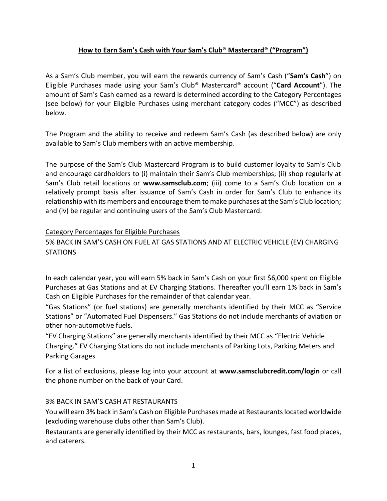## **How to Earn Sam's Cash with Your Sam's Club**® **Mastercard**® **("Program")**

As a Sam's Club member, you will earn the rewards currency of Sam's Cash ("**Sam's Cash**") on Eligible Purchases made using your Sam's Club® Mastercard® account ("**Card Account**"). The amount of Sam's Cash earned as a reward is determined according to the Category Percentages (see below) for your Eligible Purchases using merchant category codes ("MCC") as described below.

The Program and the ability to receive and redeem Sam's Cash (as described below) are only available to Sam's Club members with an active membership.

The purpose of the Sam's Club Mastercard Program is to build customer loyalty to Sam's Club and encourage cardholders to (i) maintain their Sam's Club memberships; (ii) shop regularly at Sam's Club retail locations or **www.samsclub.com**; (iii) come to a Sam's Club location on a relatively prompt basis after issuance of Sam's Cash in order for Sam's Club to enhance its relationship with its members and encourage them to make purchases at the Sam's Club location; and (iv) be regular and continuing users of the Sam's Club Mastercard.

### Category Percentages for Eligible Purchases

# 5% BACK IN SAM'S CASH ON FUEL AT GAS STATIONS AND AT ELECTRIC VEHICLE (EV) CHARGING **STATIONS**

In each calendar year, you will earn 5% back in Sam's Cash on your first \$6,000 spent on Eligible Purchases at Gas Stations and at EV Charging Stations. Thereafter you'll earn 1% back in Sam's Cash on Eligible Purchases for the remainder of that calendar year.

"Gas Stations" (or fuel stations) are generally merchants identified by their MCC as "Service Stations" or "Automated Fuel Dispensers." Gas Stations do not include merchants of aviation or other non-automotive fuels.

"EV Charging Stations" are generally merchants identified by their MCC as "Electric Vehicle Charging." EV Charging Stations do not include merchants of Parking Lots, Parking Meters and Parking Garages

For a list of exclusions, please log into your account at **www.samsclubcredit.com/login** or call the phone number on the back of your Card.

## 3% BACK IN SAM'S CASH AT RESTAURANTS

You will earn 3% back in Sam's Cash on Eligible Purchases made at Restaurants located worldwide (excluding warehouse clubs other than Sam's Club).

Restaurants are generally identified by their MCC as restaurants, bars, lounges, fast food places, and caterers.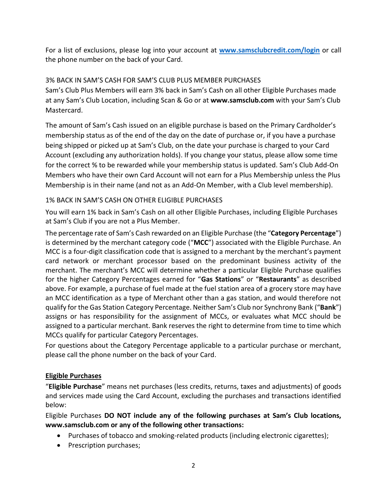For a list of exclusions, please log into your account at **[www.samsclubcredit.com/login](http://www.samsclubcredit.com/login)** or call the phone number on the back of your Card.

## 3% BACK IN SAM'S CASH FOR SAM'S CLUB PLUS MEMBER PURCHASES

Sam's Club Plus Members will earn 3% back in Sam's Cash on all other Eligible Purchases made at any Sam's Club Location, including Scan & Go or at **www.samsclub.com** with your Sam's Club Mastercard.

The amount of Sam's Cash issued on an eligible purchase is based on the Primary Cardholder's membership status as of the end of the day on the date of purchase or, if you have a purchase being shipped or picked up at Sam's Club, on the date your purchase is charged to your Card Account (excluding any authorization holds). If you change your status, please allow some time for the correct % to be rewarded while your membership status is updated. Sam's Club Add-On Members who have their own Card Account will not earn for a Plus Membership unless the Plus Membership is in their name (and not as an Add-On Member, with a Club level membership).

## 1% BACK IN SAM'S CASH ON OTHER ELIGIBLE PURCHASES

You will earn 1% back in Sam's Cash on all other Eligible Purchases, including Eligible Purchases at Sam's Club if you are not a Plus Member.

The percentage rate of Sam's Cash rewarded on an Eligible Purchase (the "**Category Percentage**") is determined by the merchant category code ("**MCC**") associated with the Eligible Purchase. An MCC is a four-digit classification code that is assigned to a merchant by the merchant's payment card network or merchant processor based on the predominant business activity of the merchant. The merchant's MCC will determine whether a particular Eligible Purchase qualifies for the higher Category Percentages earned for "**Gas Stations**" or "**Restaurants**" as described above. For example, a purchase of fuel made at the fuel station area of a grocery store may have an MCC identification as a type of Merchant other than a gas station, and would therefore not qualify for the Gas Station Category Percentage. Neither Sam's Club nor Synchrony Bank ("**Bank**") assigns or has responsibility for the assignment of MCCs, or evaluates what MCC should be assigned to a particular merchant. Bank reserves the right to determine from time to time which MCCs qualify for particular Category Percentages.

For questions about the Category Percentage applicable to a particular purchase or merchant, please call the phone number on the back of your Card.

## **Eligible Purchases**

"**Eligible Purchase**" means net purchases (less credits, returns, taxes and adjustments) of goods and services made using the Card Account, excluding the purchases and transactions identified below:

Eligible Purchases **DO NOT include any of the following purchases at Sam's Club locations, www.samsclub.com or any of the following other transactions:**

- Purchases of tobacco and smoking-related products (including electronic cigarettes);
- Prescription purchases;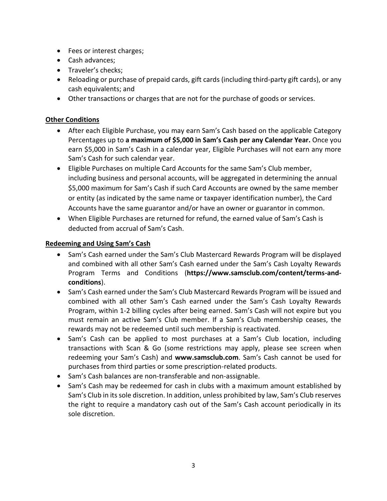- Fees or interest charges;
- Cash advances;
- Traveler's checks;
- Reloading or purchase of prepaid cards, gift cards (including third-party gift cards), or any cash equivalents; and
- Other transactions or charges that are not for the purchase of goods or services.

## **Other Conditions**

- After each Eligible Purchase, you may earn Sam's Cash based on the applicable Category Percentages up to **a maximum of \$5,000 in Sam's Cash per any Calendar Year.** Once you earn \$5,000 in Sam's Cash in a calendar year, Eligible Purchases will not earn any more Sam's Cash for such calendar year.
- Eligible Purchases on multiple Card Accounts for the same Sam's Club member, including business and personal accounts, will be aggregated in determining the annual \$5,000 maximum for Sam's Cash if such Card Accounts are owned by the same member or entity (as indicated by the same name or taxpayer identification number), the Card Accounts have the same guarantor and/or have an owner or guarantor in common.
- When Eligible Purchases are returned for refund, the earned value of Sam's Cash is deducted from accrual of Sam's Cash.

#### **Redeeming and Using Sam's Cash**

- Sam's Cash earned under the Sam's Club Mastercard Rewards Program will be displayed and combined with all other Sam's Cash earned under the Sam's Cash Loyalty Rewards Program Terms and Conditions (**https://www.samsclub.com/content/terms-andconditions**).
- Sam's Cash earned under the Sam's Club Mastercard Rewards Program will be issued and combined with all other Sam's Cash earned under the Sam's Cash Loyalty Rewards Program, within 1-2 billing cycles after being earned. Sam's Cash will not expire but you must remain an active Sam's Club member. If a Sam's Club membership ceases, the rewards may not be redeemed until such membership is reactivated.
- Sam's Cash can be applied to most purchases at a Sam's Club location, including transactions with Scan & Go (some restrictions may apply, please see screen when redeeming your Sam's Cash) and **www.samsclub.com**. Sam's Cash cannot be used for purchases from third parties or some prescription-related products.
- Sam's Cash balances are non-transferable and non-assignable.
- Sam's Cash may be redeemed for cash in clubs with a maximum amount established by Sam's Club in its sole discretion. In addition, unless prohibited by law, Sam's Club reserves the right to require a mandatory cash out of the Sam's Cash account periodically in its sole discretion.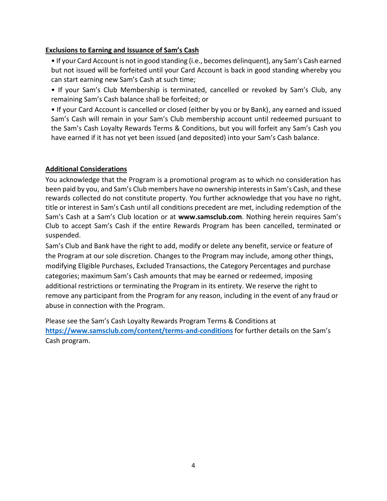## **Exclusions to Earning and Issuance of Sam's Cash**

- If your Card Account is not in good standing (i.e., becomes delinquent), any Sam's Cash earned but not issued will be forfeited until your Card Account is back in good standing whereby you can start earning new Sam's Cash at such time;
- If your Sam's Club Membership is terminated, cancelled or revoked by Sam's Club, any remaining Sam's Cash balance shall be forfeited; or

• If your Card Account is cancelled or closed (either by you or by Bank), any earned and issued Sam's Cash will remain in your Sam's Club membership account until redeemed pursuant to the Sam's Cash Loyalty Rewards Terms & Conditions, but you will forfeit any Sam's Cash you have earned if it has not yet been issued (and deposited) into your Sam's Cash balance.

## **Additional Considerations**

You acknowledge that the Program is a promotional program as to which no consideration has been paid by you, and Sam's Club members have no ownership interests in Sam's Cash, and these rewards collected do not constitute property. You further acknowledge that you have no right, title or interest in Sam's Cash until all conditions precedent are met, including redemption of the Sam's Cash at a Sam's Club location or at **www.samsclub.com**. Nothing herein requires Sam's Club to accept Sam's Cash if the entire Rewards Program has been cancelled, terminated or suspended.

Sam's Club and Bank have the right to add, modify or delete any benefit, service or feature of the Program at our sole discretion. Changes to the Program may include, among other things, modifying Eligible Purchases, Excluded Transactions, the Category Percentages and purchase categories; maximum Sam's Cash amounts that may be earned or redeemed, imposing additional restrictions or terminating the Program in its entirety. We reserve the right to remove any participant from the Program for any reason, including in the event of any fraud or abuse in connection with the Program.

Please see the Sam's Cash Loyalty Rewards Program Terms & Conditions at **<https://www.samsclub.com/content/terms-and-conditions>** for further details on the Sam's Cash program.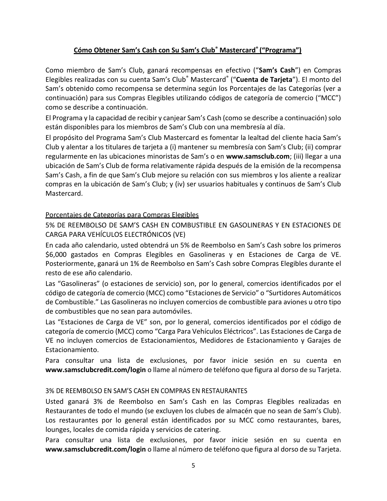# **Cómo Obtener Sam's Cash con Su Sam's Club® Mastercard® ("Programa")**

Como miembro de Sam's Club, ganará recompensas en efectivo ("**Sam's Cash**") en Compras Elegibles realizadas con su cuenta Sam's Club® Mastercard® ("**Cuenta de Tarjeta**"). El monto del Sam's obtenido como recompensa se determina según los Porcentajes de las Categorías (ver a continuación) para sus Compras Elegibles utilizando códigos de categoría de comercio ("MCC") como se describe a continuación.

El Programa y la capacidad de recibir y canjear Sam's Cash (como se describe a continuación) solo están disponibles para los miembros de Sam's Club con una membresía al día.

El propósito del Programa Sam's Club Mastercard es fomentar la lealtad del cliente hacia Sam's Club y alentar a los titulares de tarjeta a (i) mantener su membresía con Sam's Club; (ii) comprar regularmente en las ubicaciones minoristas de Sam's o en **www.samsclub.com**; (iii) llegar a una ubicación de Sam's Club de forma relativamente rápida después de la emisión de la recompensa Sam's Cash, a fin de que Sam's Club mejore su relación con sus miembros y los aliente a realizar compras en la ubicación de Sam's Club; y (iv) ser usuarios habituales y continuos de Sam's Club Mastercard.

### Porcentajes de Categorías para Compras Elegibles

5% DE REEMBOLSO DE SAM'S CASH EN COMBUSTIBLE EN GASOLINERAS Y EN ESTACIONES DE CARGA PARA VEHÍCULOS ELECTRÓNICOS (VE)

En cada año calendario, usted obtendrá un 5% de Reembolso en Sam's Cash sobre los primeros \$6,000 gastados en Compras Elegibles en Gasolineras y en Estaciones de Carga de VE. Posteriormente, ganará un 1% de Reembolso en Sam's Cash sobre Compras Elegibles durante el resto de ese año calendario.

Las "Gasolineras" (o estaciones de servicio) son, por lo general, comercios identificados por el código de categoría de comercio (MCC) como "Estaciones de Servicio" o "Surtidores Automáticos de Combustible." Las Gasolineras no incluyen comercios de combustible para aviones u otro tipo de combustibles que no sean para automóviles.

Las "Estaciones de Carga de VE" son, por lo general, comercios identificados por el código de categoría de comercio (MCC) como "Carga Para Vehículos Eléctricos". Las Estaciones de Carga de VE no incluyen comercios de Estacionamientos, Medidores de Estacionamiento y Garajes de Estacionamiento.

Para consultar una lista de exclusiones, por favor inicie sesión en su cuenta en **www.samsclubcredit.com/login** o llame al número de teléfono que figura al dorso de su Tarjeta.

## 3% DE REEMBOLSO EN SAM'S CASH EN COMPRAS EN RESTAURANTES

Usted ganará 3% de Reembolso en Sam's Cash en las Compras Elegibles realizadas en Restaurantes de todo el mundo (se excluyen los clubes de almacén que no sean de Sam's Club). Los restaurantes por lo general están identificados por su MCC como restaurantes, bares, lounges, locales de comida rápida y servicios de catering.

Para consultar una lista de exclusiones, por favor inicie sesión en su cuenta en **www.samsclubcredit.com/login** o llame al número de teléfono que figura al dorso de su Tarjeta.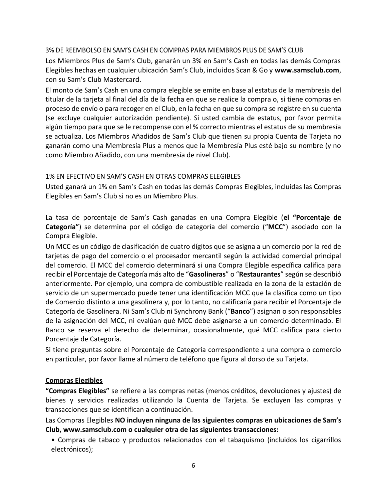#### 3% DE REEMBOLSO EN SAM'S CASH EN COMPRAS PARA MIEMBROS PLUS DE SAM'S CLUB

Los Miembros Plus de Sam's Club, ganarán un 3% en Sam's Cash en todas las demás Compras Elegibles hechas en cualquier ubicación Sam's Club, incluidos Scan & Go y **www.samsclub.com**, con su Sam's Club Mastercard.

El monto de Sam's Cash en una compra elegible se emite en base al estatus de la membresía del titular de la tarjeta al final del día de la fecha en que se realice la compra o, si tiene compras en proceso de envío o para recoger en el Club, en la fecha en que su compra se registre en su cuenta (se excluye cualquier autorización pendiente). Si usted cambia de estatus, por favor permita algún tiempo para que se le recompense con el % correcto mientras el estatus de su membresía se actualiza. Los Miembros Añadidos de Sam's Club que tienen su propia Cuenta de Tarjeta no ganarán como una Membresía Plus a menos que la Membresía Plus esté bajo su nombre (y no como Miembro Añadido, con una membresía de nivel Club).

### 1% EN EFECTIVO EN SAM'S CASH EN OTRAS COMPRAS ELEGIBLES

Usted ganará un 1% en Sam's Cash en todas las demás Compras Elegibles, incluidas las Compras Elegibles en Sam's Club si no es un Miembro Plus.

La tasa de porcentaje de Sam's Cash ganadas en una Compra Elegible (**el "Porcentaje de Categoría"**) se determina por el código de categoría del comercio ("**MCC**") asociado con la Compra Elegible.

Un MCC es un código de clasificación de cuatro dígitos que se asigna a un comercio por la red de tarjetas de pago del comercio o el procesador mercantil según la actividad comercial principal del comercio. El MCC del comercio determinará si una Compra Elegible específica califica para recibir el Porcentaje de Categoría más alto de "**Gasolineras**" o "**Restaurantes**" según se describió anteriormente. Por ejemplo, una compra de combustible realizada en la zona de la estación de servicio de un supermercado puede tener una identificación MCC que la clasifica como un tipo de Comercio distinto a una gasolinera y, por lo tanto, no calificaría para recibir el Porcentaje de Categoría de Gasolinera. Ni Sam's Club ni Synchrony Bank ("**Banco**") asignan o son responsables de la asignación del MCC, ni evalúan qué MCC debe asignarse a un comercio determinado. El Banco se reserva el derecho de determinar, ocasionalmente, qué MCC califica para cierto Porcentaje de Categoría.

Si tiene preguntas sobre el Porcentaje de Categoría correspondiente a una compra o comercio en particular, por favor llame al número de teléfono que figura al dorso de su Tarjeta.

## **Compras Elegibles**

**"Compras Elegibles"** se refiere a las compras netas (menos créditos, devoluciones y ajustes) de bienes y servicios realizadas utilizando la Cuenta de Tarjeta. Se excluyen las compras y transacciones que se identifican a continuación.

Las Compras Elegibles **NO incluyen ninguna de las siguientes compras en ubicaciones de Sam's Club, www.samsclub.com o cualquier otra de las siguientes transacciones:**

• Compras de tabaco y productos relacionados con el tabaquismo (incluidos los cigarrillos electrónicos);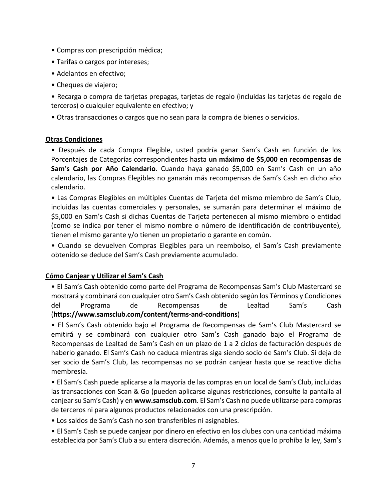- Compras con prescripción médica;
- Tarifas o cargos por intereses;
- Adelantos en efectivo;
- Cheques de viajero;

• Recarga o compra de tarjetas prepagas, tarjetas de regalo (incluidas las tarjetas de regalo de terceros) o cualquier equivalente en efectivo; y

• Otras transacciones o cargos que no sean para la compra de bienes o servicios.

### **Otras Condiciones**

• Después de cada Compra Elegible, usted podría ganar Sam's Cash en función de los Porcentajes de Categorías correspondientes hasta **un máximo de \$5,000 en recompensas de Sam's Cash por Año Calendario**. Cuando haya ganado \$5,000 en Sam's Cash en un año calendario, las Compras Elegibles no ganarán más recompensas de Sam's Cash en dicho año calendario.

• Las Compras Elegibles en múltiples Cuentas de Tarjeta del mismo miembro de Sam's Club, incluidas las cuentas comerciales y personales, se sumarán para determinar el máximo de \$5,000 en Sam's Cash si dichas Cuentas de Tarjeta pertenecen al mismo miembro o entidad (como se indica por tener el mismo nombre o número de identificación de contribuyente), tienen el mismo garante y/o tienen un propietario o garante en común.

• Cuando se devuelven Compras Elegibles para un reembolso, el Sam's Cash previamente obtenido se deduce del Sam's Cash previamente acumulado.

## **Cómo Canjear y Utilizar el Sam's Cash**

• El Sam's Cash obtenido como parte del Programa de Recompensas Sam's Club Mastercard se mostrará y combinará con cualquier otro Sam's Cash obtenido según los Términos y Condiciones del Programa de Recompensas de Lealtad Sam's Cash (**https://www.samsclub.com/content/terms-and-conditions**)

• El Sam's Cash obtenido bajo el Programa de Recompensas de Sam's Club Mastercard se emitirá y se combinará con cualquier otro Sam's Cash ganado bajo el Programa de Recompensas de Lealtad de Sam's Cash en un plazo de 1 a 2 ciclos de facturación después de haberlo ganado. El Sam's Cash no caduca mientras siga siendo socio de Sam's Club. Si deja de ser socio de Sam's Club, las recompensas no se podrán canjear hasta que se reactive dicha membresía.

• El Sam's Cash puede aplicarse a la mayoría de las compras en un local de Sam's Club, incluidas las transacciones con Scan & Go (pueden aplicarse algunas restricciones, consulte la pantalla al canjear su Sam's Cash) y en **www.samsclub.com**. El Sam's Cash no puede utilizarse para compras de terceros ni para algunos productos relacionados con una prescripción.

• Los saldos de Sam's Cash no son transferibles ni asignables.

• El Sam's Cash se puede canjear por dinero en efectivo en los clubes con una cantidad máxima establecida por Sam's Club a su entera discreción. Además, a menos que lo prohíba la ley, Sam's